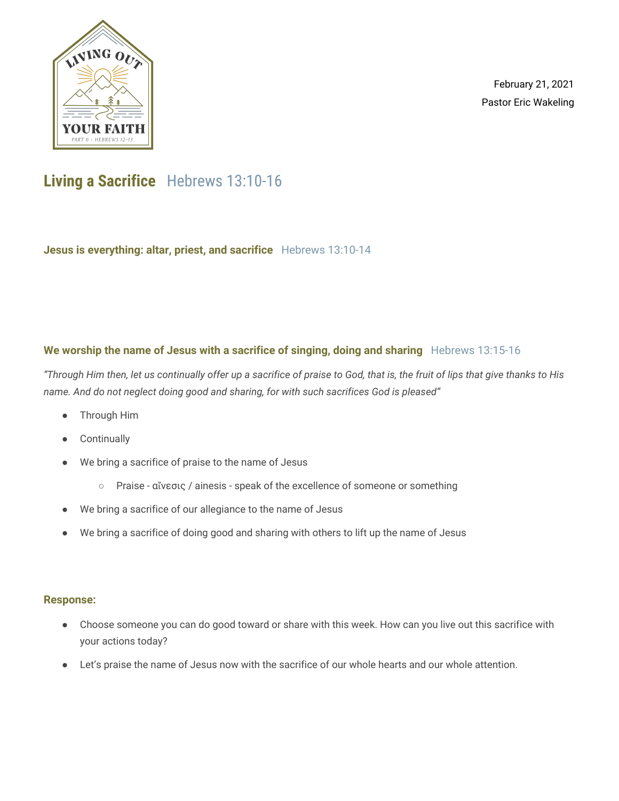

February 21, 2021 Pastor Eric Wakeling

## **Living a Sacrifice** Hebrews 13:10-16

**Jesus is everything: altar, priest, and sacrifice** Hebrews 13:10-14

### **We worship the name of Jesus with a sacrifice of singing, doing and sharing** Hebrews 13:15-16

"Through Him then, let us continually offer up a sacrifice of praise to God, that is, the fruit of lips that give thanks to His *name. And do not neglect doing good and sharing, for with such sacrifices God is pleased"*

- Through Him
- **Continually**
- We bring a sacrifice of praise to the name of Jesus
	- Praise αἴνεσις / ainesis speak of the excellence of someone or something
- We bring a sacrifice of our allegiance to the name of Jesus
- We bring a sacrifice of doing good and sharing with others to lift up the name of Jesus

#### **Response:**

- Choose someone you can do good toward or share with this week. How can you live out this sacrifice with your actions today?
- Let's praise the name of Jesus now with the sacrifice of our whole hearts and our whole attention.